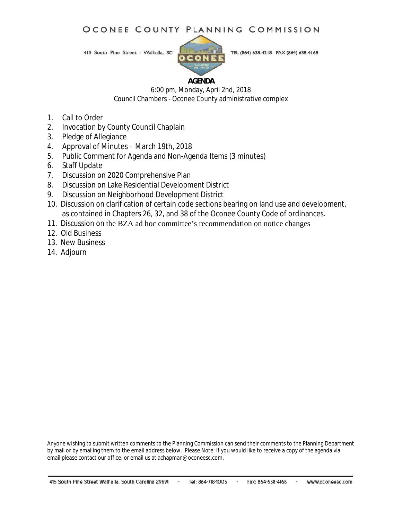### OCONEE COUNTY PLANNING COMMISSION

415 South Pine Street - Walhalla, SC



TEL (864) 638-4218 FAX (864) 638-4168

### **AGENDA**

6:00 pm, Monday, April 2nd, 2018 Council Chambers - Oconee County administrative complex

- 1. Call to Order
- 2. Invocation by County Council Chaplain
- 3. Pledge of Allegiance
- 4. Approval of Minutes March 19th, 2018
- 5. Public Comment for Agenda and Non-Agenda Items (3 minutes)
- 6. Staff Update
- 7. Discussion on 2020 Comprehensive Plan
- 8. Discussion on Lake Residential Development District
- 9. Discussion on Neighborhood Development District
- 10. Discussion on clarification of certain code sections bearing on land use and development, as contained in Chapters 26, 32, and 38 of the Oconee County Code of ordinances.
- 11. Discussion on the BZA ad hoc committee's recommendation on notice changes
- 12. Old Business
- 13. New Business
- 14. Adjourn

Anyone wishing to submit written comments to the Planning Commission can send their comments to the Planning Department by mail or by emailing them to the email address below. Please Note: If you would like to receive a copy of the agenda via email please contact our office, or email us at achapman@oconeesc.com.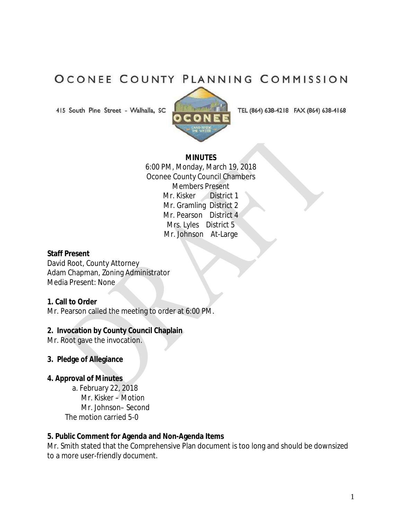## OCONEE COUNTY PLANNING COMMISSION

415 South Pine Street - Walhalla, SC



TEL (864) 638-4218 FAX (864) 638-4168

### **MINUTES**

6:00 PM, Monday, March 19, 2018 Oconee County Council Chambers Members Present Mr. Kisker District 1 Mr. Gramling District 2 Mr. Pearson District 4 Mrs. Lyles District 5 Mr. Johnson At-Large

### **Staff Present**

David Root, County Attorney Adam Chapman, Zoning Administrator Media Present: None

### **1. Call to Order**

Mr. Pearson called the meeting to order at 6:00 PM.

### **2. Invocation by County Council Chaplain**

Mr. Root gave the invocation.

- **3. Pledge of Allegiance**
- **4. Approval of Minutes** 
	- a. February 22, 2018 Mr. Kisker – Motion Mr. Johnson– Second The motion carried 5-0

### **5. Public Comment for Agenda and Non-Agenda Items**

Mr. Smith stated that the Comprehensive Plan document is too long and should be downsized to a more user-friendly document.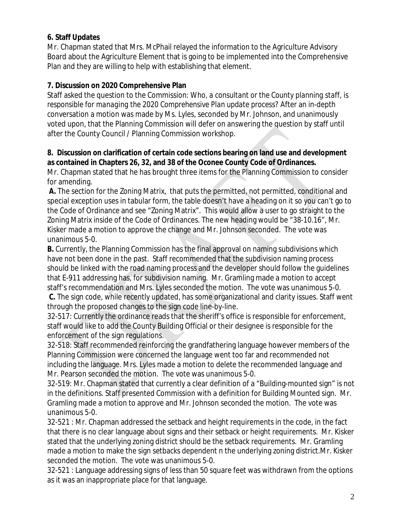### **6. Staff Updates**

Mr. Chapman stated that Mrs. McPhail relayed the information to the Agriculture Advisory Board about the Agriculture Element that is going to be implemented into the Comprehensive Plan and they are willing to help with establishing that element.

## **7. Discussion on 2020 Comprehensive Plan**

Staff asked the question to the Commission: *Who, a consultant or the County planning staff, is responsible for managing the 2020 Comprehensive Plan update process?* After an in-depth conversation a motion was made by Ms. Lyles, seconded by Mr. Johnson, and unanimously voted upon, that the Planning Commission will defer on answering the question by staff until after the County Council / Planning Commission workshop.

### **8. Discussion on clarification of certain code sections bearing on land use and development as contained in Chapters 26, 32, and 38 of the Oconee County Code of Ordinances.**

Mr. Chapman stated that he has brought three items for the Planning Commission to consider for amending.

**A.** The section for the Zoning Matrix, that puts the permitted, not permitted, conditional and special exception uses in tabular form, the table doesn't have a heading on it so you can't go to the Code of Ordinance and see "Zoning Matrix". This would allow a user to go straight to the Zoning Matrix inside of the Code of Ordinances. The new heading would be "38-10.16", Mr. Kisker made a motion to approve the change and Mr. Johnson seconded. The vote was unanimous 5-0.

**B.** Currently, the Planning Commission has the final approval on naming subdivisions which have not been done in the past. Staff recommended that the subdivision naming process should be linked with the road naming process and the developer should follow the guidelines that E-911 addressing has, for subdivision naming. Mr. Gramling made a motion to accept staff's recommendation and Mrs. Lyles seconded the motion. The vote was unanimous 5-0.

**C.** The sign code, while recently updated, has some organizational and clarity issues. Staff went through the proposed changes to the sign code line-by-line.

32-517: Currently the ordinance reads that the sheriff's office is responsible for enforcement, staff would like to add the County Building Official or their designee is responsible for the enforcement of the sign regulations.

32-518: Staff recommended reinforcing the grandfathering language however members of the Planning Commission were concerned the language went too far and recommended not including the language. Mrs. Lyles made a motion to delete the recommended language and Mr. Pearson seconded the motion. The vote was unanimous 5-0.

32-519: Mr. Chapman stated that currently a clear definition of a "Building-mounted sign" is not in the definitions. Staff presented Commission with a definition for Building Mounted sign. Mr. Gramling made a motion to approve and Mr. Johnson seconded the motion. The vote was unanimous 5-0.

32-521 : Mr. Chapman addressed the setback and height requirements in the code, in the fact that there is no clear language about signs and their setback or height requirements. Mr. Kisker stated that the underlying zoning district should be the setback requirements. Mr. Gramling made a motion to make the sign setbacks dependent n the underlying zoning district.Mr. Kisker seconded the motion. The vote was unanimous 5-0.

32-521 : Language addressing signs of less than 50 square feet was withdrawn from the options as it was an inappropriate place for that language.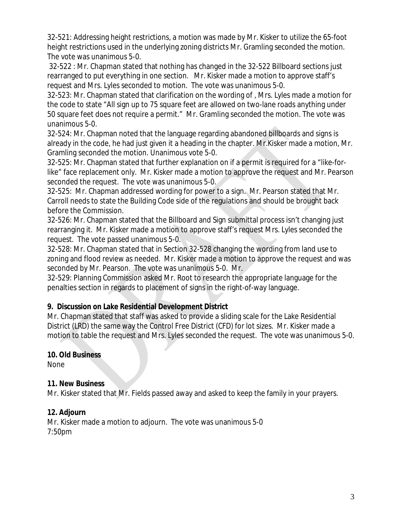32-521: Addressing height restrictions, a motion was made by Mr. Kisker to utilize the 65-foot height restrictions used in the underlying zoning districts Mr. Gramling seconded the motion. The vote was unanimous 5-0.

32-522 : Mr. Chapman stated that nothing has changed in the 32-522 Billboard sections just rearranged to put everything in one section. Mr. Kisker made a motion to approve staff's request and Mrs. Lyles seconded to motion. The vote was unanimous 5-0.

32-523: Mr. Chapman stated that clarification on the wording of , Mrs. Lyles made a motion for the code to state "All sign up to 75 square feet are allowed on two-lane roads anything under 50 square feet does not require a permit." Mr. Gramling seconded the motion. The vote was unanimous 5-0.

32-524: Mr. Chapman noted that the language regarding abandoned billboards and signs is already in the code, he had just given it a heading in the chapter. Mr.Kisker made a motion, Mr. Gramling seconded the motion. Unanimous vote 5-0.

32-525: Mr. Chapman stated that further explanation on if a permit is required for a "like-forlike" face replacement only. Mr. Kisker made a motion to approve the request and Mr. Pearson seconded the request. The vote was unanimous 5-0.

32-525: Mr. Chapman addressed wording for power to a sign. Mr. Pearson stated that Mr. Carroll needs to state the Building Code side of the regulations and should be brought back before the Commission.

32-526: Mr. Chapman stated that the Billboard and Sign submittal process isn't changing just rearranging it. Mr. Kisker made a motion to approve staff's request Mrs. Lyles seconded the request. The vote passed unanimous 5-0.

32-528: Mr. Chapman stated that in Section 32-528 changing the wording from land use to zoning and flood review as needed. Mr. Kisker made a motion to approve the request and was seconded by Mr. Pearson. The vote was unanimous 5-0. Mr.

32-529: Planning Commission asked Mr. Root to research the appropriate language for the penalties section in regards to placement of signs in the right-of-way language.

## **9. Discussion on Lake Residential Development District**

Mr. Chapman stated that staff was asked to provide a sliding scale for the Lake Residential District (LRD) the same way the Control Free District (CFD) for lot sizes. Mr. Kisker made a motion to table the request and Mrs. Lyles seconded the request. The vote was unanimous 5-0.

## **10. Old Business**

None

## **11. New Business**

Mr. Kisker stated that Mr. Fields passed away and asked to keep the family in your prayers.

## **12. Adjourn**

Mr. Kisker made a motion to adjourn. The vote was unanimous 5-0 7:50pm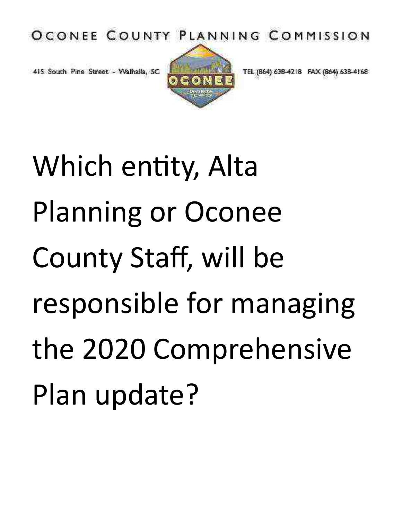OCONEE COUNTY PLANNING COMMISSION

415 South Pine Street - Walhalla, SC



TEL (864) 638-4218 FAX (864) 638-4168

Which entity, Alta Planning or Oconee County Staff, will be responsible for managing the 2020 Comprehensive Plan update?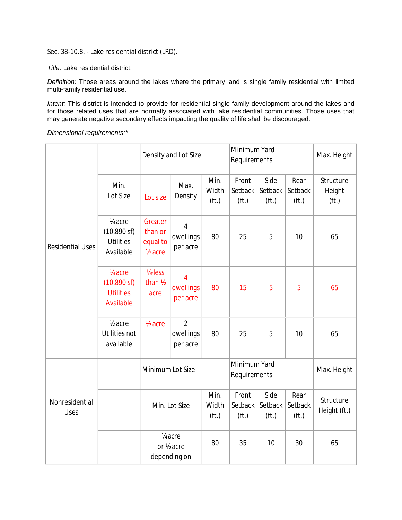Sec. 38-10.8. - Lake residential district (LRD).

*Title:* Lake residential district.

*Definition:* Those areas around the lakes where the primary land is single family residential with limited multi-family residential use.

*Intent:* This district is intended to provide for residential single family development around the lakes and for those related uses that are normally associated with lake residential communities. Those uses that may generate negative secondary effects impacting the quality of life shall be discouraged.

*Dimensional requirements:\**

|                               |                                                                                                                                                 |                                                      | Density and Lot Size                                |                                    | Minimum Yard<br>Requirements          |                                      |                                      | Max. Height                              |
|-------------------------------|-------------------------------------------------------------------------------------------------------------------------------------------------|------------------------------------------------------|-----------------------------------------------------|------------------------------------|---------------------------------------|--------------------------------------|--------------------------------------|------------------------------------------|
|                               | Min.<br>Lot Size                                                                                                                                | Lot size                                             | Max.<br>Density                                     | Min.<br>Width<br>(f <sup>t</sup> ) | Front<br>Setback<br>(f <sub>t</sub> ) | Side<br>Setback<br>(f <sub>t</sub> ) | Rear<br>Setback<br>(f <sub>t</sub> ) | Structure<br>Height<br>(f <sub>t</sub> ) |
| <b>Residential Uses</b>       | 1/ <sub>4</sub> acre<br>(10,890 sf)<br><b>Utilities</b><br>Available                                                                            | Greater<br>than or<br>equal to<br>$\frac{1}{2}$ acre | $\overline{4}$<br>dwellings<br>per acre             | 80                                 | 25                                    | 5                                    | 10                                   | 65                                       |
|                               | $1/4$ -less<br>1/ <sub>4</sub> acre<br>4<br>$(10,890 \text{ sf})$<br>than 1/2<br>dwellings<br><b>Utilities</b><br>acre<br>per acre<br>Available |                                                      | 80                                                  | 15                                 | 5                                     | 5                                    | 65                                   |                                          |
|                               | 1/ <sub>2</sub> acre<br>Utilities not<br>available                                                                                              | $\frac{1}{2}$ acre                                   | $\overline{2}$<br>dwellings<br>per acre             | 80                                 | 25                                    | 5                                    | 10                                   | 65                                       |
|                               |                                                                                                                                                 | Minimum Lot Size                                     |                                                     |                                    | Minimum Yard<br>Requirements          |                                      |                                      | Max. Height                              |
| Nonresidential<br><b>Uses</b> |                                                                                                                                                 |                                                      | Min. Lot Size                                       | Min.<br>Width<br>(f <sub>t</sub> ) | Front<br>Setback<br>(f <sub>t</sub> ) | Side<br>Setback<br>(f <sub>t</sub> ) | Rear<br>Setback<br>(f <sub>t</sub> ) | Structure<br>Height (ft.)                |
|                               |                                                                                                                                                 |                                                      | 1/ <sub>4</sub> acre<br>or 1/2 acre<br>depending on | 80                                 | 35                                    | 10                                   | 30                                   | 65                                       |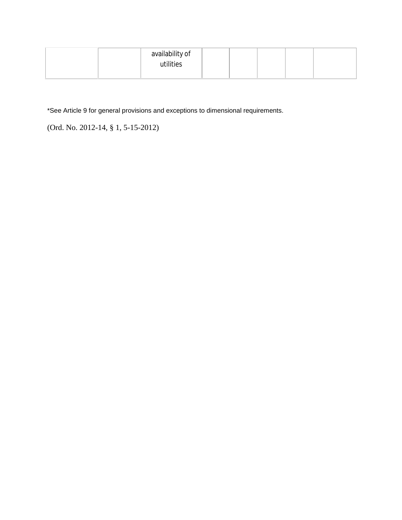|  | availability of |  |  |  |
|--|-----------------|--|--|--|
|  | utilities       |  |  |  |
|  |                 |  |  |  |

\*See Article 9 for general provisions and exceptions to dimensional requirements.

(Ord. No. 2012-14, § 1, 5-15-2012)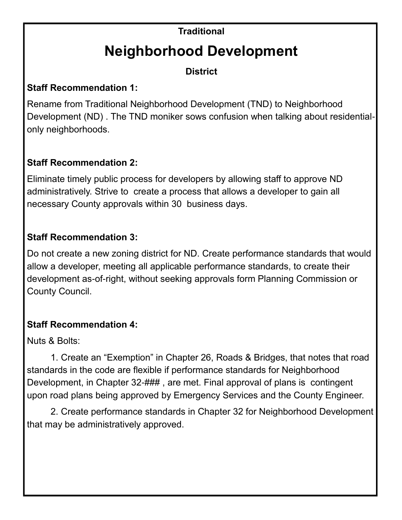# **Traditional Neighborhood Development**

**District**

## **Staff Recommendation 1:**

Rename from Traditional Neighborhood Development (TND) to Neighborhood Development (ND) . The TND moniker sows confusion when talking about residentialonly neighborhoods.

## **Staff Recommendation 2:**

Eliminate timely public process for developers by allowing staff to approve ND administratively. Strive to create a process that allows a developer to gain all necessary County approvals within 30 business days.

## **Staff Recommendation 3:**

Do not create a new zoning district for ND. Create performance standards that would allow a developer, meeting all applicable performance standards, to create their development as-of-right, without seeking approvals form Planning Commission or County Council.

## **Staff Recommendation 4:**

Nuts & Bolts:

1. Create an "Exemption" in Chapter 26, Roads & Bridges, that notes that road standards in the code are flexible if performance standards for Neighborhood Development, in Chapter 32-###, are met. Final approval of plans is contingent upon road plans being approved by Emergency Services and the County Engineer.

2. Create performance standards in Chapter 32 for Neighborhood Development that may be administratively approved.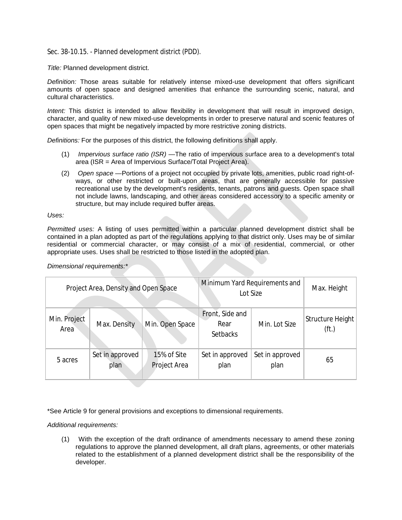Sec. 38-10.15. - Planned development district (PDD).

*Title:* Planned development district.

*Definition:* Those areas suitable for relatively intense mixed-use development that offers significant amounts of open space and designed amenities that enhance the surrounding scenic, natural, and cultural characteristics.

*Intent:* This district is intended to allow flexibility in development that will result in improved design, character, and quality of new mixed-use developments in order to preserve natural and scenic features of open spaces that might be negatively impacted by more restrictive zoning districts.

*Definitions:* For the purposes of this district, the following definitions shall apply.

- (1) *Impervious surface ratio (ISR)* —The ratio of impervious surface area to a development's total area (ISR = Area of Impervious Surface/Total Project Area).
- (2) *Open space* —Portions of a project not occupied by private lots, amenities, public road right-ofways, or other restricted or built-upon areas, that are generally accessible for passive recreational use by the development's residents, tenants, patrons and guests. Open space shall not include lawns, landscaping, and other areas considered accessory to a specific amenity or structure, but may include required buffer areas.

*Uses:*

*Permitted uses:* A listing of uses permitted within a particular planned development district shall be contained in a plan adopted as part of the regulations applying to that district only. Uses may be of similar residential or commercial character, or may consist of a mix of residential, commercial, or other appropriate uses. Uses shall be restricted to those listed in the adopted plan.

|                      | Project Area, Density and Open Space |                             |                                            | Minimum Yard Requirements and<br>Lot Size | Max. Height                           |
|----------------------|--------------------------------------|-----------------------------|--------------------------------------------|-------------------------------------------|---------------------------------------|
| Min. Project<br>Area | Max. Density                         | Min. Open Space             | Front, Side and<br>Rear<br><b>Setbacks</b> | Min. Lot Size                             | Structure Height<br>(f <sub>t</sub> ) |
| 5 acres              | Set in approved<br>plan              | 15% of Site<br>Project Area | Set in approved<br>plan                    | Set in approved<br>plan                   | 65                                    |

*Dimensional requirements:\**

\*See Article 9 for general provisions and exceptions to dimensional requirements.

*Additional requirements:*

(1) With the exception of the draft ordinance of amendments necessary to amend these zoning regulations to approve the planned development, all draft plans, agreements, or other materials related to the establishment of a planned development district shall be the responsibility of the developer.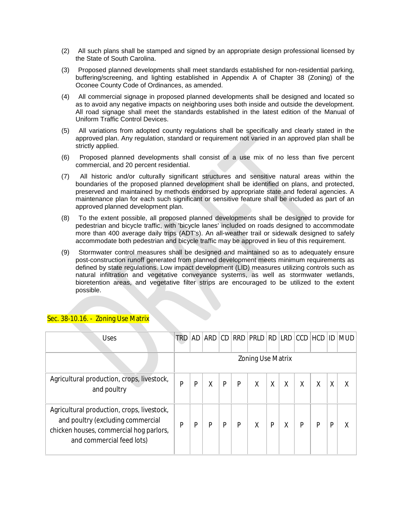- (2) All such plans shall be stamped and signed by an appropriate design professional licensed by the State of South Carolina.
- (3) Proposed planned developments shall meet standards established for non-residential parking, buffering/screening, and lighting established in Appendix A of Chapter 38 (Zoning) of the Oconee County Code of Ordinances, as amended.
- (4) All commercial signage in proposed planned developments shall be designed and located so as to avoid any negative impacts on neighboring uses both inside and outside the development. All road signage shall meet the standards established in the latest edition of the Manual of Uniform Traffic Control Devices.
- (5) All variations from adopted county regulations shall be specifically and clearly stated in the approved plan. Any regulation, standard or requirement not varied in an approved plan shall be strictly applied.
- (6) Proposed planned developments shall consist of a use mix of no less than five percent commercial, and 20 percent residential.
- (7) All historic and/or culturally significant structures and sensitive natural areas within the boundaries of the proposed planned development shall be identified on plans, and protected, preserved and maintained by methods endorsed by appropriate state and federal agencies. A maintenance plan for each such significant or sensitive feature shall be included as part of an approved planned development plan.
- (8) To the extent possible, all proposed planned developments shall be designed to provide for pedestrian and bicycle traffic, with 'bicycle lanes' included on roads designed to accommodate more than 400 average daily trips (ADT's). An all-weather trail or sidewalk designed to safely accommodate both pedestrian and bicycle traffic may be approved in lieu of this requirement.
- (9) Stormwater control measures shall be designed and maintained so as to adequately ensure post-construction runoff generated from planned development meets minimum requirements as defined by state regulations. Low impact development (LID) measures utilizing controls such as natural infiltration and vegetative conveyance systems, as well as stormwater wetlands, bioretention areas, and vegetative filter strips are encouraged to be utilized to the extent possible.

| Uses                                                                                                                                                    | <b>TRD</b>               | AD | ARD | CD |   | RRD PRLD RD LRD CCD HCD |   |   |   |   | ID | <b>MUD</b> |
|---------------------------------------------------------------------------------------------------------------------------------------------------------|--------------------------|----|-----|----|---|-------------------------|---|---|---|---|----|------------|
|                                                                                                                                                         | <b>Zoning Use Matrix</b> |    |     |    |   |                         |   |   |   |   |    |            |
| Agricultural production, crops, livestock,<br>and poultry                                                                                               | Ρ                        | P  | Χ   | P  | P | Χ                       | X | X | Χ | Χ | Χ  | Χ          |
| Agricultural production, crops, livestock,<br>and poultry (excluding commercial<br>chicken houses, commercial hog parlors,<br>and commercial feed lots) | P                        | P  | P   | P  | P | X                       | P | X | P | P | P  | Χ          |

### Sec. 38-10.16. - Zoning Use Matrix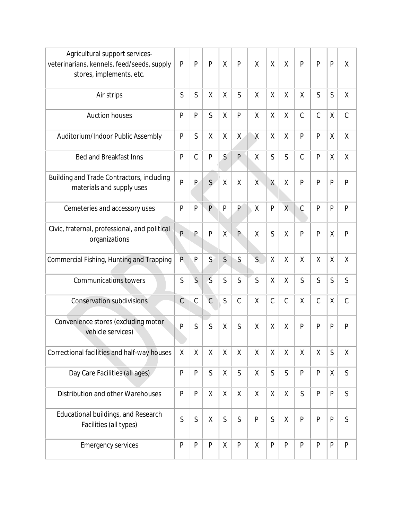| Agricultural support services-<br>veterinarians, kennels, feed/seeds, supply<br>stores, implements, etc. | P             | P              | P              | X            | $\mathsf{P}$   | X              | X             | X              | P             | P             | P            | X             |
|----------------------------------------------------------------------------------------------------------|---------------|----------------|----------------|--------------|----------------|----------------|---------------|----------------|---------------|---------------|--------------|---------------|
| Air strips                                                                                               | S             | $\mathsf{S}$   | χ              | χ            | $\mathsf{S}$   | X              | X             | X              | χ             | S             | S            | χ             |
| <b>Auction houses</b>                                                                                    | P             | P              | S              | Χ            | P              | X              | χ             | X              | $\mathcal{C}$ | $\mathcal{C}$ | χ            | $\mathcal{C}$ |
| Auditorium/Indoor Public Assembly                                                                        | P             | S              | χ              | X            | $\mathsf{X}$   | Χ              | χ             | X              | P             | $\mathsf{P}$  | $\sf X$      | Χ             |
| <b>Bed and Breakfast Inns</b>                                                                            | P             | $\mathcal{C}$  | P              | S            | $\mathsf{P}$   | $\sf X$        | S             | $\mathsf{S}$   | $\mathcal{C}$ | $\mathsf{P}$  | Χ            | Χ             |
| Building and Trade Contractors, including<br>materials and supply uses                                   | P             | P              | S              | X            | X              | $\chi$         | X             | X              | P             | $\mathsf{P}$  | P            | P             |
| Cemeteries and accessory uses                                                                            | P             | P              | $\mathsf{P}$   | P            | $\overline{P}$ | $\sf X$        | P             | $\overline{X}$ | C             | $\mathsf{P}$  | $\mathsf{P}$ | P             |
| Civic, fraternal, professional, and political<br>organizations                                           | P             | P              | P              | X            | $\mathsf{P}$   | X              | S             | χ              | P             | $\mathsf{P}$  | Χ            | $\mathsf{P}$  |
| Commercial Fishing, Hunting and Trapping                                                                 | P             | P              | $\mathsf{S}$   | $\mathsf{S}$ | $\mathsf S$    | $\overline{S}$ | χ             | χ              | X             | $\sf X$       | Χ            | Χ             |
| <b>Communications towers</b>                                                                             | S             | $\overline{S}$ | $\overline{S}$ | $\mathsf{S}$ | $\mathsf{S}$   | S              | χ             | χ              | S             | S             | $\mathsf{S}$ | $\mathsf S$   |
| <b>Conservation subdivisions</b>                                                                         | $\mathcal{C}$ | $\mathcal{C}$  | $\overline{C}$ | $\mathsf{S}$ | $\mathcal{C}$  | $\sf X$        | $\mathcal{C}$ | $\mathsf C$    | Χ             | $\mathsf C$   | χ            | $\mathcal{C}$ |
| Convenience stores (excluding motor<br>vehicle services)                                                 | P             | S              | S              | χ            | S              | $\sf X$        | X             | $\sf X$        | P             | $\mathsf{P}$  | P            | P             |
| Correctional facilities and half-way houses                                                              | χ             | X              | χ              | χ            | χ              | X              | χ             | X              | X             | χ             | $\mathsf S$  | χ             |
| Day Care Facilities (all ages)                                                                           | P             | ${\sf P}$      | $\mathsf{S}$   | χ            | S              | χ              | $\mathsf{S}$  | $\mathsf{S}$   | P             | P             | $\sf X$      | $\mathsf S$   |
| Distribution and other Warehouses                                                                        | $\mathsf{P}$  | P              | Χ              | χ            | χ              | χ              | χ             | X              | $\mathsf{S}$  | P             | $\mathsf{P}$ | S             |
| Educational buildings, and Research<br>Facilities (all types)                                            | $\mathsf S$   | $\mathsf S$    | χ              | $\mathsf S$  | $\mathsf S$    | ${\sf P}$      | $\mathsf S$   | χ              | P             | $\mathsf{P}$  | $\mathsf{P}$ | S             |
| <b>Emergency services</b>                                                                                | P             | $\mathsf{P}$   | ${\sf P}$      | χ            | $\mathsf{P}$   | $\sf X$        | $\mathsf{P}$  | P              | P             | $\mathsf{P}$  | $\mathsf{P}$ | $\mathsf{P}$  |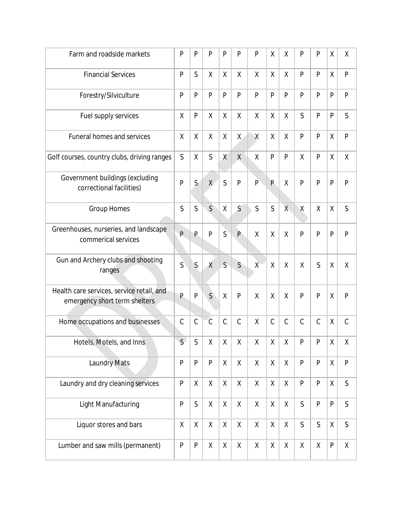| Farm and roadside markets                                                  | P                    | P             | P             | P            | P                  | P              | Χ             | χ              | P             | P             | Χ            | Χ             |
|----------------------------------------------------------------------------|----------------------|---------------|---------------|--------------|--------------------|----------------|---------------|----------------|---------------|---------------|--------------|---------------|
| <b>Financial Services</b>                                                  | P                    | $\mathsf{S}$  | χ             | $\mathsf{X}$ | χ                  | $\sf X$        | χ             | X              | P             | P             | $\sf X$      | P             |
| Forestry/Silviculture                                                      | P                    | P             | P             | P            | P                  | P              | P             | P              | P             | P             | P            | P             |
| Fuel supply services                                                       | Χ                    | P             | X             | X            | Χ                  | $\sf X$        | χ             | X              | S             | P             | P            | S             |
| <b>Funeral homes and services</b>                                          | X                    | $\mathsf{X}$  | χ             | χ            | $\mathsf{X}$       | Χ              | χ             | χ              | $\mathsf{P}$  | P             | $\sf X$      | P             |
| Golf courses, country clubs, driving ranges                                | $\mathsf S$          | $\sf X$       | $\mathsf{S}$  | X            | $\sf X$            | Χ              | P             | P              | X             | P             | $\sf X$      | $\sf X$       |
| Government buildings (excluding<br>correctional facilities)                | $\overline{P}$       | $\mathsf{S}$  | X             | $\mathsf{S}$ | $\overline{P}$     | $\overline{P}$ | P             | X              | P             | $\mathsf{P}$  | $\mathsf{P}$ | P             |
| <b>Group Homes</b>                                                         | S                    | $\mathsf{S}$  | $\mathsf{S}$  | χ            | $\mathsf{S}$       | S              | $\mathsf{S}$  | $\overline{X}$ | Χ             | $\sf X$       | Χ            | S             |
| Greenhouses, nurseries, and landscape<br>commerical services               | P                    | P             | P             | S            | $\mathsf{P}$       | X              | χ             | χ              | P             | $\mathsf{P}$  | P            | P             |
| Gun and Archery clubs and shooting<br>ranges                               | $\overrightarrow{S}$ | S             | $\chi$        | S            | $\overline{S}$     | $\chi$         | χ             | X              | X             | S             | X            | χ             |
| Health care services, service retail, and<br>emergency short term shelters | P                    | P             | $\mathsf{S}$  | Χ            | $\mathsf{P}$       | Χ              | χ             | χ              | P             | P             | Χ            | P             |
| Home occupations and businesses                                            | $\mathcal{C}$        | $\mathcal{C}$ | $\mathcal{C}$ | $\mathsf C$  | $\mathcal{C}$      | $\sf X$        | $\mathcal{C}$ | $\mathsf C$    | $\mathcal{C}$ | $\mathcal{C}$ | $\sf X$      | $\mathcal{C}$ |
| Hotels, Motels, and Inns                                                   | $\mathsf{S}$         | $\mathsf{S}$  | Χ             | $\mathsf X$  | $\mathsf X$        | $\sf X$        | $\mathsf X$   | $\mathsf X$    | P             | $\mathsf{P}$  | $\sf X$      | Χ             |
| <b>Laundry Mats</b>                                                        | ${\sf P}$            | P             | P             | $\mathsf{X}$ | $\mathsf{X}$       | $\mathsf{X}$   | $\mathsf{X}$  | $\mathsf{X}$   | P             | P             | $\mathsf{X}$ | $\mathsf{P}$  |
| Laundry and dry cleaning services                                          | ${\sf P}$            | X             | χ             | X            | χ                  | X              | X             | X              | ${\sf P}$     | ${\sf P}$     | $\sf X$      | S             |
| Light Manufacturing                                                        | $\mathsf{P}$         | $\mathsf{S}$  | $\mathsf{X}$  | $\mathsf{X}$ | $\mathsf{X}$       | $\mathsf{X}$   | $\mathsf X$   | $\sf X$        | $\mathsf{S}$  | $\mathsf{P}$  | $\mathsf{P}$ | $\mathsf{S}$  |
| Liquor stores and bars                                                     | Χ                    | $\sf X$       | $\mathsf{X}$  | $\mathsf{X}$ | $\mathsf{X}% _{0}$ | $\sf X$        | $\mathsf X$   | $\sf X$        | $\mathsf{S}$  | $\mathsf{S}$  | $\sf X$      | $\mathsf{S}$  |
| Lumber and saw mills (permanent)                                           | ${\sf P}$            | P             | χ             | χ            | Χ                  | Χ              | Χ             | Χ              | χ             | Χ             | $\sf P$      | $\mathsf{X}$  |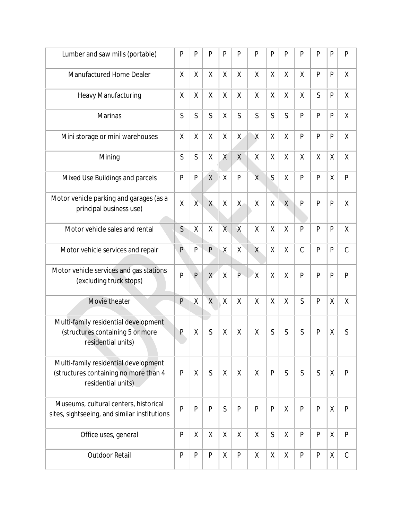| Lumber and saw mills (portable)                                                                      | $\mathsf{P}$   | P              | P            | P              | P            | P              | $\mathsf{P}$ | P            | P             | P            | P       | $\mathsf{P}$  |
|------------------------------------------------------------------------------------------------------|----------------|----------------|--------------|----------------|--------------|----------------|--------------|--------------|---------------|--------------|---------|---------------|
| Manufactured Home Dealer                                                                             | X              | $\sf X$        | $\sf X$      | χ              | $\sf X$      | $\sf X$        | χ            | X            | $\sf X$       | P            | P       | χ             |
| <b>Heavy Manufacturing</b>                                                                           | χ              | χ              | X            | Χ              | χ            | χ              | χ            | X            | Χ             | S            | P       | Χ             |
| <b>Marinas</b>                                                                                       | S              | $\mathsf{S}$   | $\mathsf{S}$ | X              | $\mathsf{S}$ | $\mathsf{S}$   | $\mathsf S$  | $\mathsf{S}$ | P             | P            | P       | X             |
| Mini storage or mini warehouses                                                                      | Χ              | $\sf X$        | $\sf X$      | Χ              | $\mathsf{X}$ | Χ              | χ            | $\sf X$      | $\mathsf{P}$  | P            | P       | $\sf X$       |
| Mining                                                                                               | S              | $\mathsf S$    | χ            | $\mathsf{X}$   | $\chi$       | Χ              | χ            | χ            | Χ             | Χ            | Χ       | Χ             |
| Mixed Use Buildings and parcels                                                                      | P              | $\mathsf{P}$   | $\mathsf{X}$ | Χ              | ${\sf P}$    | $\overline{X}$ | S            | χ            | P             | P            | Χ       | $\mathsf{P}$  |
| Motor vehicle parking and garages (as a<br>principal business use)                                   | $\sf X$        | $\overline{X}$ | X            | χ              | $\mathsf{X}$ | Χ              | χ            | $\sf X$      | P             | $\mathsf{P}$ | P       | Χ             |
| Motor vehicle sales and rental                                                                       | S              | χ              | Χ            | $\overline{X}$ | $\mathsf{X}$ | X              | Χ            | X            | P             | P            | P       | Χ             |
| Motor vehicle services and repair                                                                    | $\mathsf{P}$   | $\mathsf{P}$   | $\mathsf{P}$ | Χ              | $\mathsf X$  | X              | Χ            | X            | $\mathcal{C}$ | P            | P       | $\mathsf C$   |
| Motor vehicle services and gas stations<br>(excluding truck stops)                                   | $\overline{P}$ | $\overline{P}$ | X            | $\sf X$        | P            | ΙX             | χ            | Χ            | P             | $\mathsf{P}$ | P       | P             |
| Movie theater                                                                                        | P              | $\sf X$        | $\sf X$      | X              | $\sf X$      | $\sf X$        | X            | $\sf X$      | $\mathsf{S}$  | P            | $\sf X$ | χ             |
| Multi-family residential development<br>(structures containing 5 or more<br>residential units)       | $\mathsf{P}$   | χ              | S            | χ              | χ            | χ              | S            | S            | S             | P            | Χ       | S             |
| Multi-family residential development<br>(structures containing no more than 4<br>residential units). | $\mathsf{P}$   | χ              | S            | X              | X            | X              | P            | S            | S             | S            | Χ       | $\mathsf{P}$  |
| Museums, cultural centers, historical<br>sites, sightseeing, and similar institutions                | P              | P              | P            | $\mathsf{S}$   | $\mathsf{P}$ | P              | $\mathsf{P}$ | χ            | P             | P            | χ       | $\mathsf{P}$  |
| Office uses, general                                                                                 | $\mathsf{P}$   | χ              | X            | χ              | χ            | X              | $\mathsf{S}$ | X            | P             | P            | $\sf X$ | $\mathsf{P}$  |
| Outdoor Retail                                                                                       | $\mathsf{P}$   | ${\sf P}$      | ${\sf P}$    | χ              | ${\sf P}$    | Χ              | χ            | Χ            | $\mathsf{P}$  | $\mathsf{P}$ | $\sf X$ | $\mathcal{C}$ |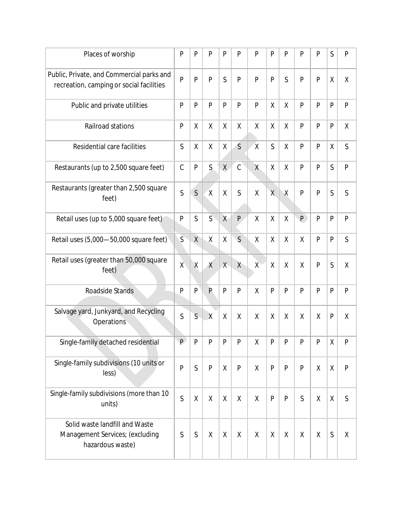| Places of worship                                                                     | P              | P              | P              | P              | P            | P            | $\mathsf{P}$ | P            | P            | P            | S               | $\mathsf{P}$ |
|---------------------------------------------------------------------------------------|----------------|----------------|----------------|----------------|--------------|--------------|--------------|--------------|--------------|--------------|-----------------|--------------|
| Public, Private, and Commercial parks and<br>recreation, camping or social facilities | $\overline{P}$ | P              | P              | S              | P            | P            | $\mathsf{P}$ | S            | P            | P            | χ               | χ            |
| Public and private utilities                                                          | P              | P              | P              | P              | P            | $\mathsf{P}$ | χ            | χ            | P            | P            | P               | P            |
| Railroad stations                                                                     | P              | χ              | X              | χ              | χ            | χ            | χ            | Χ            | P            | P            | P               | Χ            |
| Residential care facilities                                                           | S              | χ              | X              | χ              | $\mathsf{S}$ | $\mathsf{X}$ | S            | X            | P            | P            | χ               | S            |
| Restaurants (up to 2,500 square feet)                                                 | $\mathcal{C}$  | P              | S              | X              | $\mathsf C$  | X            | χ            | χ            | $\mathsf{P}$ | $\mathsf{P}$ | $\mathsf{S}$    | P            |
| Restaurants (greater than 2,500 square<br>feet)                                       | S              | $\mathsf{S}$   | $\mathsf{X}$   | χ              | $\mathsf{S}$ | χ            | X            | Χ            | P            | P            | S               | S            |
| Retail uses (up to 5,000 square feet)                                                 | P              | $\mathsf{S}$   | $\mathsf{S}$   | $\overline{X}$ | $\mathsf{P}$ | Χ            | χ            | Χ            | P            | P            | P               | P            |
| Retail uses (5,000-50,000 square feet)                                                | $\overline{S}$ | $\chi$         | $\sf X$        | Χ              | $\mathsf{S}$ | X            | X            | X            | X            | P            | P               | S            |
| Retail uses (greater than 50,000 square<br>feet)                                      | $\chi$         | $\sf X$        | $\chi$         | X              | $\chi$       | X            | χ            | X            | X            | $\mathsf{P}$ | S               | χ            |
| Roadside Stands                                                                       | P              | P              | $\overline{P}$ | P              | P            | $\sf X$      | P            | $\mathsf{P}$ | P            | P            | $\mathsf{P}$    | P            |
| Salvage yard, Junkyard, and Recycling<br>Operations                                   | S              | $\mathsf{S}$   | $\overline{X}$ | χ              | X            | X            | χ            | X            | X            | $\sf X$      | P               | χ            |
| Single-family detached residential                                                    | P.             | $\overline{P}$ | P              | P              | ${\sf P}$    | $\sf X$      | P            | P            | P            | P            | $\mathsf{\chi}$ | P            |
| Single-family subdivisions (10 units or<br>less)                                      | P              | $\mathsf{S}$   | P              | χ              | ${\sf P}$    | χ            | $\mathsf{P}$ | P            | $\mathsf{P}$ | Χ            | χ               | $\mathsf{P}$ |
| Single-family subdivisions (more than 10<br>units)                                    | S              | Χ              | X              | X              | X            | χ            | $\mathsf{P}$ | P            | S            | χ            | $\sf X$         | S            |
| Solid waste landfill and Waste<br>Management Services; (excluding<br>hazardous waste) | $\mathsf S$    | $\mathsf S$    | X              | X              | X            | X            | X            | X            | X            | $\sf X$      | S               | χ            |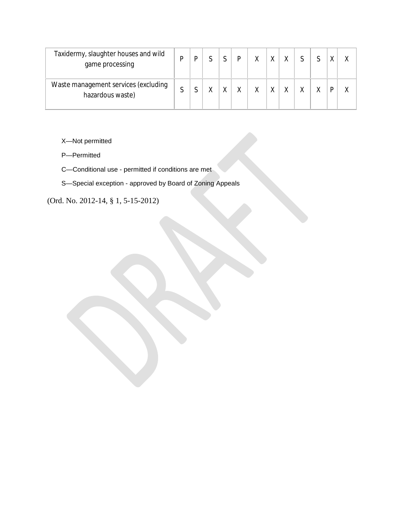| Taxidermy, slaughter houses and wild<br>game processing  |   |  |   |  |  |  |   |  |
|----------------------------------------------------------|---|--|---|--|--|--|---|--|
| Waste management services (excluding<br>hazardous waste) | ⌒ |  | v |  |  |  | D |  |

- X—Not permitted
- P—Permitted
- C—Conditional use permitted if conditions are met
- S—Special exception approved by Board of Zoning Appeals

(Ord. No. 2012-14, § 1, 5-15-2012)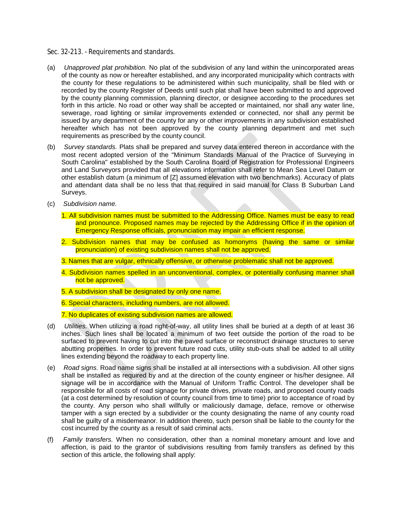#### Sec. 32-213. - Requirements and standards.

- (a) *Unapproved plat prohibition.* No plat of the subdivision of any land within the unincorporated areas of the county as now or hereafter established, and any incorporated municipality which contracts with the county for these regulations to be administered within such municipality, shall be filed with or recorded by the county Register of Deeds until such plat shall have been submitted to and approved by the county planning commission, planning director, or designee according to the procedures set forth in this article. No road or other way shall be accepted or maintained, nor shall any water line, sewerage, road lighting or similar improvements extended or connected, nor shall any permit be issued by any department of the county for any or other improvements in any subdivision established hereafter which has not been approved by the county planning department and met such requirements as prescribed by the county council.
- (b) *Survey standards.* Plats shall be prepared and survey data entered thereon in accordance with the most recent adopted version of the "Minimum Standards Manual of the Practice of Surveying in South Carolina" established by the South Carolina Board of Registration for Professional Engineers and Land Surveyors provided that all elevations information shall refer to Mean Sea Level Datum or other establish datum (a minimum of [Z] assumed elevation with two benchmarks). Accuracy of plats and attendant data shall be no less that that required in said manual for Class B Suburban Land Surveys.
- (c) *Subdivision name.*
	- 1. All subdivision names must be submitted to the Addressing Office. Names must be easy to read and pronounce. Proposed names may be rejected by the Addressing Office if in the opinion of Emergency Response officials, pronunciation may impair an efficient response.
	- 2. Subdivision names that may be confused as homonyms (having the same or similar pronunciation) of existing subdivision names shall not be approved.
	- 3. Names that are vulgar, ethnically offensive, or otherwise problematic shall not be approved.
	- 4. Subdivision names spelled in an unconventional, complex, or potentially confusing manner shall not be approved.
	- 5. A subdivision shall be designated by only one name.
	- 6. Special characters, including numbers, are not allowed.
	- 7. No duplicates of existing subdivision names are allowed.
- (d) *Utilities.* When utilizing a road right-of-way, all utility lines shall be buried at a depth of at least 36 inches. Such lines shall be located a minimum of two feet outside the portion of the road to be surfaced to prevent having to cut into the paved surface or reconstruct drainage structures to serve abutting properties. In order to prevent future road cuts, utility stub-outs shall be added to all utility lines extending beyond the roadway to each property line.
- (e) *Road signs.* Road name signs shall be installed at all intersections with a subdivision. All other signs shall be installed as required by and at the direction of the county engineer or his/her designee. All signage will be in accordance with the Manual of Uniform Traffic Control. The developer shall be responsible for all costs of road signage for private drives, private roads, and proposed county roads (at a cost determined by resolution of county council from time to time) prior to acceptance of road by the county. Any person who shall willfully or maliciously damage, deface, remove or otherwise tamper with a sign erected by a subdivider or the county designating the name of any county road shall be guilty of a misdemeanor. In addition thereto, such person shall be liable to the county for the cost incurred by the county as a result of said criminal acts.
- (f) *Family transfers.* When no consideration, other than a nominal monetary amount and love and affection, is paid to the grantor of subdivisions resulting from family transfers as defined by this section of this article, the following shall apply: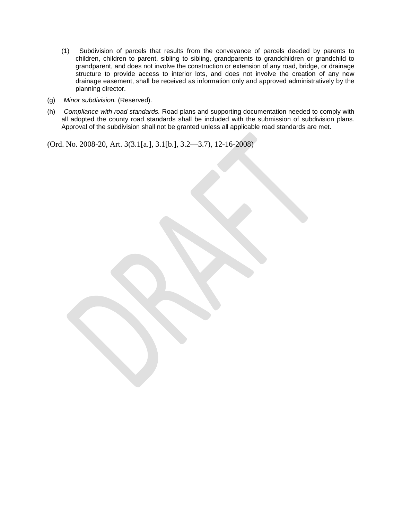- (1) Subdivision of parcels that results from the conveyance of parcels deeded by parents to children, children to parent, sibling to sibling, grandparents to grandchildren or grandchild to grandparent, and does not involve the construction or extension of any road, bridge, or drainage structure to provide access to interior lots, and does not involve the creation of any new drainage easement, shall be received as information only and approved administratively by the planning director.
- (g) *Minor subdivision.* (Reserved).
- (h) *Compliance with road standards.* Road plans and supporting documentation needed to comply with all adopted the county road standards shall be included with the submission of subdivision plans. Approval of the subdivision shall not be granted unless all applicable road standards are met.

(Ord. No. 2008-20, Art. 3(3.1[a.], 3.1[b.], 3.2—3.7), 12-16-2008)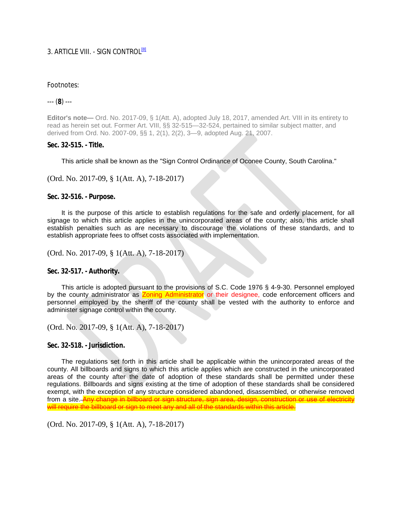### 3. ARTICLE VIII. - SIGN CONTROL<sup>[8]</sup>

### Footnotes:

--- (**8**) ---

**Editor's note—** Ord. No. 2017-09, § 1(Att. A), adopted July 18, 2017, amended Art. VIII in its entirety to read as herein set out. Former Art. VIII, §§ 32-515—32-524, pertained to similar subject matter, and derived from Ord. No. 2007-09, §§ 1, 2(1), 2(2), 3—9, adopted Aug. 21, 2007.

### **Sec. 32-515. - Title.**

This article shall be known as the "Sign Control Ordinance of Oconee County, South Carolina."

(Ord. No. 2017-09, § 1(Att. A), 7-18-2017)

**Sec. 32-516. - Purpose.** 

It is the purpose of this article to establish regulations for the safe and orderly placement, for all signage to which this article applies in the unincorporated areas of the county; also, this article shall establish penalties such as are necessary to discourage the violations of these standards, and to establish appropriate fees to offset costs associated with implementation.

(Ord. No. 2017-09, § 1(Att. A), 7-18-2017)

**Sec. 32-517. - Authority.** 

This article is adopted pursuant to the provisions of S.C. Code 1976 § 4-9-30. Personnel employed by the county administrator as **Zoning Administrator** or their designee, code enforcement officers and personnel employed by the sheriff of the county shall be vested with the authority to enforce and administer signage control within the county.

(Ord. No. 2017-09, § 1(Att. A), 7-18-2017)

**Sec. 32-518. - Jurisdiction.** 

The regulations set forth in this article shall be applicable within the unincorporated areas of the county. All billboards and signs to which this article applies which are constructed in the unincorporated areas of the county after the date of adoption of these standards shall be permitted under these regulations. Billboards and signs existing at the time of adoption of these standards shall be considered exempt, with the exception of any structure considered abandoned, disassembled, or otherwise removed from a site.  $\overline{A}$ will require the billboard or sign to meet any and all of the standards within this article.

(Ord. No. 2017-09, § 1(Att. A), 7-18-2017)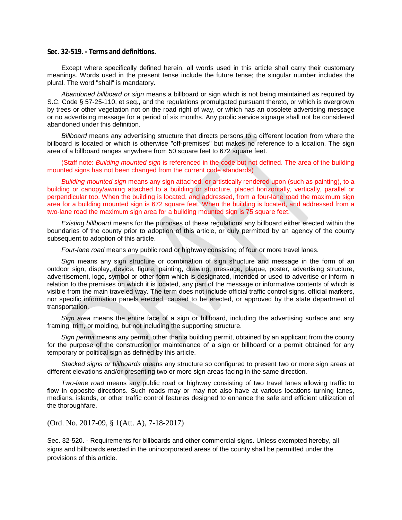#### **Sec. 32-519. - Terms and definitions.**

Except where specifically defined herein, all words used in this article shall carry their customary meanings. Words used in the present tense include the future tense; the singular number includes the plural. The word "shall" is mandatory.

*Abandoned billboard or sign* means a billboard or sign which is not being maintained as required by S.C. Code § 57-25-110, et seq., and the regulations promulgated pursuant thereto, or which is overgrown by trees or other vegetation not on the road right of way, or which has an obsolete advertising message or no advertising message for a period of six months. Any public service signage shall not be considered abandoned under this definition.

*Billboard* means any advertising structure that directs persons to a different location from where the billboard is located or which is otherwise "off-premises" but makes no reference to a location. The sign area of a billboard ranges anywhere from 50 square feet to 672 square feet.

(Staff note: *Building mounted sign* is referenced in the code but not defined. The area of the building mounted signs has not been changed from the current code standards)

*Building-mounted sign* means any sign attached, or artistically rendered upon (such as painting), to a building or canopy/awning attached to a building or structure, placed horizontally, vertically, parallel or perpendicular too. When the building is located, and addressed, from a four-lane road the maximum sign area for a building mounted sign is 672 square feet. When the building is located, and addressed from a two-lane road the maximum sign area for a building mounted sign is 75 square feet.

*Existing billboard* means for the purposes of these regulations any billboard either erected within the boundaries of the county prior to adoption of this article, or duly permitted by an agency of the county subsequent to adoption of this article.

*Four-lane road* means any public road or highway consisting of four or more travel lanes.

*Sign* means any sign structure or combination of sign structure and message in the form of an outdoor sign, display, device, figure, painting, drawing, message, plaque, poster, advertising structure, advertisement, logo, symbol or other form which is designated, intended or used to advertise or inform in relation to the premises on which it is located, any part of the message or informative contents of which is visible from the main traveled way. The term does not include official traffic control signs, official markers, nor specific information panels erected, caused to be erected, or approved by the state department of transportation.

*Sign area* means the entire face of a sign or billboard, including the advertising surface and any framing, trim, or molding, but not including the supporting structure.

*Sign permit* means any permit, other than a building permit, obtained by an applicant from the county for the purpose of the construction or maintenance of a sign or billboard or a permit obtained for any temporary or political sign as defined by this article.

*Stacked signs or billboards* means any structure so configured to present two or more sign areas at different elevations and/or presenting two or more sign areas facing in the same direction.

*Two-lane road* means any public road or highway consisting of two travel lanes allowing traffic to flow in opposite directions. Such roads may or may not also have at various locations turning lanes, medians, islands, or other traffic control features designed to enhance the safe and efficient utilization of the thoroughfare.

(Ord. No. 2017-09, § 1(Att. A), 7-18-2017)

Sec. 32-520. - Requirements for billboards and other commercial signs. Unless exempted hereby, all signs and billboards erected in the unincorporated areas of the county shall be permitted under the provisions of this article.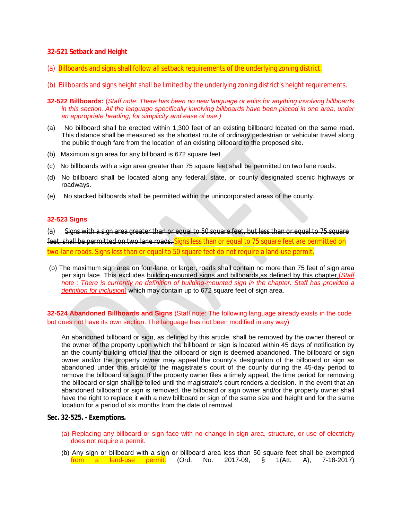### **32-521 Setback and Height**

- (a) Billboards and signs shall follow all setback requirements of the underlying zoning district.
- (b) Billboards and signs height shall be limited by the underlying zoning district's height requirements.
- **32-522 Billboards:** (*Staff note: There has been no new language or edits for anything involving billboards* in this section. All the language specifically involving billboards have been placed in one area, under *an appropriate heading, for simplicity and ease of use.)*
- (a) No billboard shall be erected within 1,300 feet of an existing billboard located on the same road. This distance shall be measured as the shortest route of ordinary pedestrian or vehicular travel along the public though fare from the location of an existing billboard to the proposed site.
- (b) Maximum sign area for any billboard is 672 square feet.
- (c) No billboards with a sign area greater than 75 square feet shall be permitted on two lane roads.
- (d) No billboard shall be located along any federal, state, or county designated scenic highways or roadways.
- (e) No stacked billboards shall be permitted within the unincorporated areas of the county.

#### **32-523 Signs**

(a) Signs with a sign area greater than or equal to 50 square feet, but less than or equal to 75 square feet, shall be permitted on two lane roads. Signs less than or equal to 75 square feet are permitted on two-lane roads. Signs less than or equal to 50 square feet do not require a land-use permit.

(b) The maximum sign area on four-lane, or larger, roads shall contain no more than 75 feet of sign area per sign face. This excludes building-mounted signs and billboards,as defined by this chapter,(*Staff note : There is currently no definition of building-mounted sign in the chapter. Staff has provided a definition for inclusion)* which may contain up to 672 square feet of sign area.

**32-524 Abandoned Billboards and Signs** (Staff note: The following language already exists in the code but does not have its own section. The language has not been modified in any way)

An abandoned billboard or sign, as defined by this article, shall be removed by the owner thereof or the owner of the property upon which the billboard or sign is located within 45 days of notification by an the county building official that the billboard or sign is deemed abandoned. The billboard or sign owner and/or the property owner may appeal the county's designation of the billboard or sign as abandoned under this article to the magistrate's court of the county during the 45-day period to remove the billboard or sign. If the property owner files a timely appeal, the time period for removing the billboard or sign shall be tolled until the magistrate's court renders a decision. In the event that an abandoned billboard or sign is removed, the billboard or sign owner and/or the property owner shall have the right to replace it with a new billboard or sign of the same size and height and for the same location for a period of six months from the date of removal.

#### **Sec. 32-525. - Exemptions.**

- (a) Replacing any billboard or sign face with no change in sign area, structure, or use of electricity does not require a permit.
- (b) Any sign or billboard with a sign or billboard area less than 50 square feet shall be exempted from a land-use permit. (Ord. No. 2017-09, § 1(Att. A), 7-18-2017)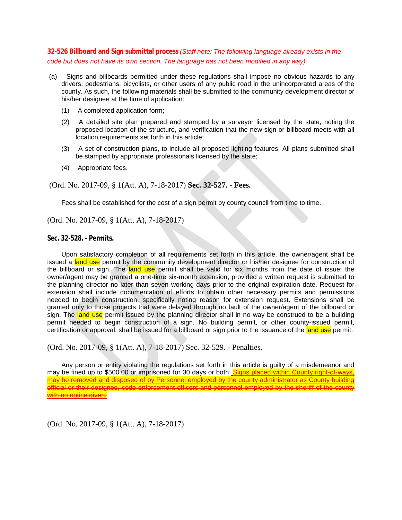### **32-526 Billboard and Sign submittal process** *(Staff note: The following language already exists in the code but does not have its own section. The language has not been modified in any way)*

- (a) Signs and billboards permitted under these regulations shall impose no obvious hazards to any drivers, pedestrians, bicyclists, or other users of any public road in the unincorporated areas of the county. As such, the following materials shall be submitted to the community development director or his/her designee at the time of application:
	- (1) A completed application form;
	- (2) A detailed site plan prepared and stamped by a surveyor licensed by the state, noting the proposed location of the structure, and verification that the new sign or billboard meets with all location requirements set forth in this article;
	- (3) A set of construction plans, to include all proposed lighting features. All plans submitted shall be stamped by appropriate professionals licensed by the state;
	- (4) Appropriate fees.

(Ord. No. 2017-09, § 1(Att. A), 7-18-2017) **Sec. 32-527. - Fees.** 

Fees shall be established for the cost of a sign permit by county council from time to time.

(Ord. No. 2017-09, § 1(Att. A), 7-18-2017)

**Sec. 32-528. - Permits.** 

Upon satisfactory completion of all requirements set forth in this article, the owner/agent shall be issued a land use permit by the community development director or his/her designee for construction of the billboard or sign. The land use permit shall be valid for six months from the date of issue; the owner/agent may be granted a one-time six-month extension, provided a written request is submitted to the planning director no later than seven working days prior to the original expiration date. Request for extension shall include documentation of efforts to obtain other necessary permits and permissions needed to begin construction, specifically noting reason for extension request. Extensions shall be granted only to those projects that were delayed through no fault of the owner/agent of the billboard or sign. The land use permit issued by the planning director shall in no way be construed to be a building permit needed to begin construction of a sign. No building permit, or other county-issued permit, certification or approval, shall be issued for a billboard or sign prior to the issuance of the land use permit.

(Ord. No. 2017-09, § 1(Att. A), 7-18-2017) Sec. 32-529. - Penalties.

Any person or entity violating the regulations set forth in this article is guilty of a misdemeanor and may be fined up to \$500.00 or imprisoned for 30 days or both. Signs placed within County right-of-ways, may be removed and disposed of by Personnel employed by the county administrator as County building official or their designee, code enforcement officers and personnel employed by the sheriff of the county with no notice given.

(Ord. No. 2017-09, § 1(Att. A), 7-18-2017)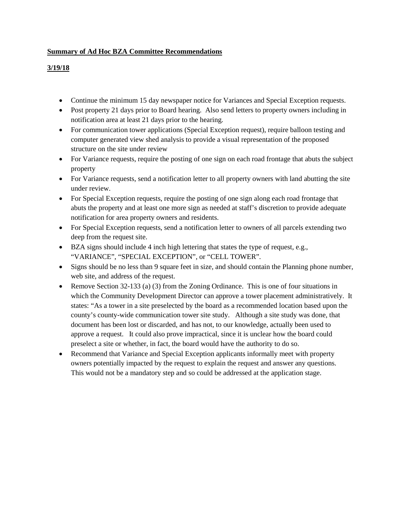### **Summary of Ad Hoc BZA Committee Recommendations**

### **3/19/18**

- Continue the minimum 15 day newspaper notice for Variances and Special Exception requests.
- Post property 21 days prior to Board hearing. Also send letters to property owners including in notification area at least 21 days prior to the hearing.
- For communication tower applications (Special Exception request), require balloon testing and computer generated view shed analysis to provide a visual representation of the proposed structure on the site under review
- For Variance requests, require the posting of one sign on each road frontage that abuts the subject property
- For Variance requests, send a notification letter to all property owners with land abutting the site under review.
- For Special Exception requests, require the posting of one sign along each road frontage that abuts the property and at least one more sign as needed at staff's discretion to provide adequate notification for area property owners and residents.
- For Special Exception requests, send a notification letter to owners of all parcels extending two deep from the request site.
- BZA signs should include 4 inch high lettering that states the type of request, e.g., "VARIANCE", "SPECIAL EXCEPTION", or "CELL TOWER".
- Signs should be no less than 9 square feet in size, and should contain the Planning phone number, web site, and address of the request.
- Remove Section 32-133 (a) (3) from the Zoning Ordinance. This is one of four situations in which the Community Development Director can approve a tower placement administratively. It states: "As a tower in a site preselected by the board as a recommended location based upon the county's county-wide communication tower site study. Although a site study was done, that document has been lost or discarded, and has not, to our knowledge, actually been used to approve a request. It could also prove impractical, since it is unclear how the board could preselect a site or whether, in fact, the board would have the authority to do so.
- Recommend that Variance and Special Exception applicants informally meet with property owners potentially impacted by the request to explain the request and answer any questions. This would not be a mandatory step and so could be addressed at the application stage.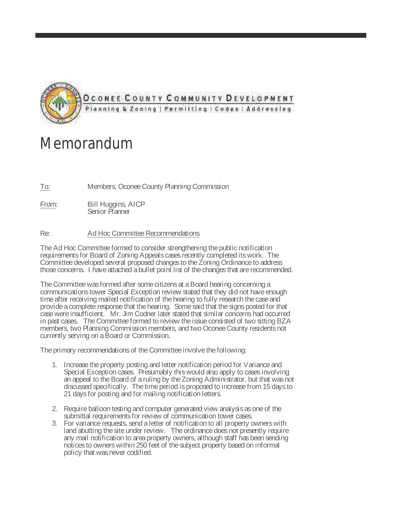

# Memorandum

To: Members, Oconee County Planning Commission

From: Bill Huggins, AICP Senior Planner

### Re: Ad Hoc Committee Recommendations

The Ad Hoc Committee formed to consider strengthening the public notification requirements for Board of Zoning Appeals cases recently completed its work. The Committee developed several proposed changes to the Zoning Ordinance to address those concerns. I have attached a bullet point list of the changes that are recommended.

The Committee was formed after some citizens at a Board hearing concerning a communications tower Special Exception review stated that they did not have enough time after receiving mailed notification of the hearing to fully research the case and provide a complete response that the hearing. Some said that the signs posted for that case were insufficient. Mr. Jim Codner later stated that similar concerns had occurred in past cases. The Committee formed to review the issue consisted of two sitting BZA members, two Planning Commission members, and two Oconee County residents not currently serving on a Board or Commission.

The primary recommendations of the Committee involve the following:

- 1. Increase the property posting and letter notification period for Variance and Special Exception cases. Presumably this would also apply to cases involving an appeal to the Board of a ruling by the Zoning Administrator, but that was not discussed specifically. The time period is proposed to increase from 15 days to 21 days for posting and for mailing notification letters.
- 2. Require balloon testing and computer generated view analysis as one of the submittal requirements for review of communication tower cases.
- 3. For variance requests, send a letter of notification to all property owners with land abutting the site under review. The ordinance does not presently require any mail notification to area property owners, although staff has been sending notices to owners within 250 feet of the subject property based on informal policy that was never codified.